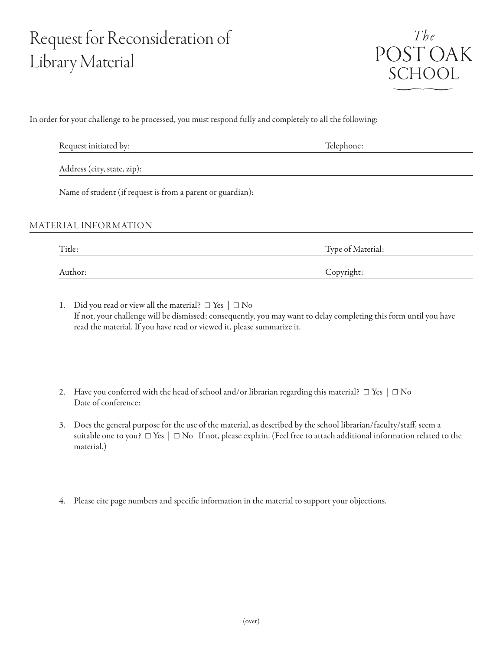## Request for Reconsideration of Library Material



In order for your challenge to be processed, you must respond fully and completely to all the following:

| Request initiated by:                                      | Telephone:        |
|------------------------------------------------------------|-------------------|
| Address (city, state, zip):                                |                   |
| Name of student (if request is from a parent or guardian): |                   |
| MATERIAL INFORMATION                                       |                   |
| Title:                                                     | Type of Material: |
| Author:                                                    | Copyright:        |

- 1. Did you read or view all the material?  $\Box$  Yes  $|\Box$  No If not, your challenge will be dismissed; consequently, you may want to delay completing this form until you have read the material. If you have read or viewed it, please summarize it.
- 2. Have you conferred with the head of school and/or librarian regarding this material?  $\Box$  Yes  $\Box$  No Date of conference:
- 3. Does the general purpose for the use of the material, as described by the school librarian/faculty/staff, seem a suitable one to you?  $\Box$  Yes  $\Box$  No If not, please explain. (Feel free to attach additional information related to the material.)
- 4. Please cite page numbers and specific information in the material to support your objections.